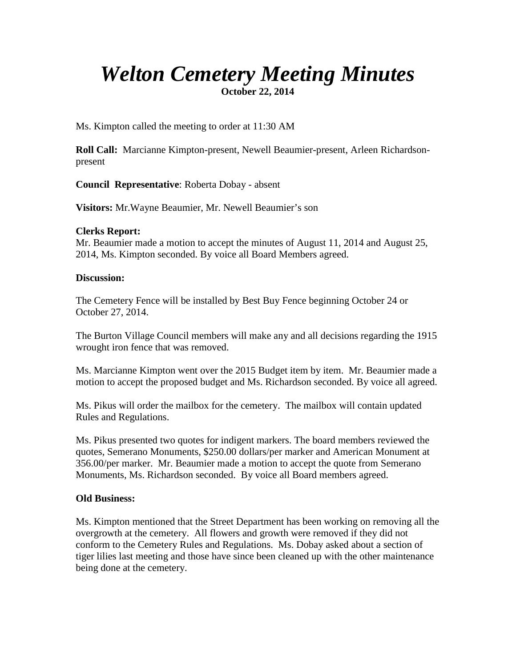# *Welton Cemetery Meeting Minutes*

**October 22, 2014**

Ms. Kimpton called the meeting to order at 11:30 AM

**Roll Call:** Marcianne Kimpton-present, Newell Beaumier-present, Arleen Richardsonpresent

**Council Representative**: Roberta Dobay - absent

**Visitors:** Mr.Wayne Beaumier, Mr. Newell Beaumier's son

### **Clerks Report:**

Mr. Beaumier made a motion to accept the minutes of August 11, 2014 and August 25, 2014, Ms. Kimpton seconded. By voice all Board Members agreed.

### **Discussion:**

The Cemetery Fence will be installed by Best Buy Fence beginning October 24 or October 27, 2014.

The Burton Village Council members will make any and all decisions regarding the 1915 wrought iron fence that was removed.

Ms. Marcianne Kimpton went over the 2015 Budget item by item. Mr. Beaumier made a motion to accept the proposed budget and Ms. Richardson seconded. By voice all agreed.

Ms. Pikus will order the mailbox for the cemetery. The mailbox will contain updated Rules and Regulations.

Ms. Pikus presented two quotes for indigent markers. The board members reviewed the quotes, Semerano Monuments, \$250.00 dollars/per marker and American Monument at 356.00/per marker. Mr. Beaumier made a motion to accept the quote from Semerano Monuments, Ms. Richardson seconded. By voice all Board members agreed.

## **Old Business:**

Ms. Kimpton mentioned that the Street Department has been working on removing all the overgrowth at the cemetery. All flowers and growth were removed if they did not conform to the Cemetery Rules and Regulations. Ms. Dobay asked about a section of tiger lilies last meeting and those have since been cleaned up with the other maintenance being done at the cemetery.